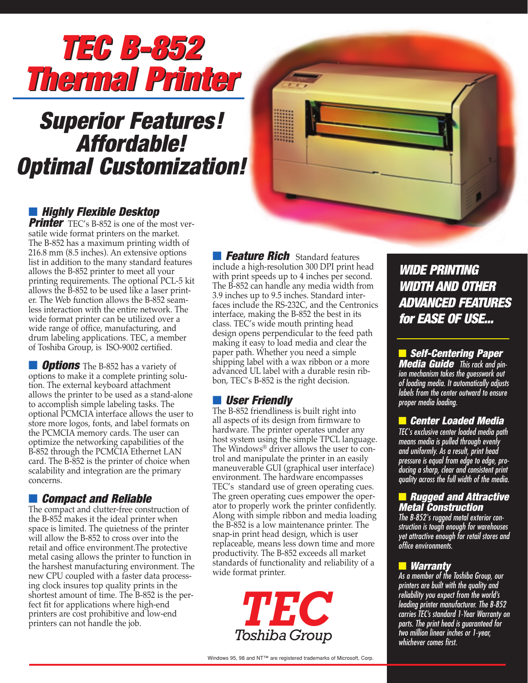

# *Superior Features! Affordable! Optimal Customization!*



## ■ *Highly Flexible Desktop*

**Printer** TEC's B-852 is one of the most versatile wide format printers on the market. The B-852 has a maximum printing width of 216.8 mm (8.5 inches). An extensive options list in addition to the many standard features allows the B-852 printer to meet all your printing requirements. The optional PCL-5 kit allows the B-852 to be used like a laser printer. The Web function allows the B-852 seamless interaction with the entire network. The wide format printer can be utilized over a wide range of office, manufacturing, and drum labeling applications. TEC, a member of Toshiba Group, is ISO-9002 certified.

**D** *Options* The B-852 has a variety of options to make it a complete printing solution. The external keyboard attachment allows the printer to be used as a stand-alone to accomplish simple labeling tasks. The optional PCMCIA interface allows the user to store more logos, fonts, and label formats on the PCMCIA memory cards. The user can optimize the networking capabilities of the B-852 through the PCMCIA Ethernet LAN card. The B-852 is the printer of choice when scalability and integration are the primary concerns.

#### ■ *Compact and Reliable*

The compact and clutter-free construction of the B-852 makes it the ideal printer when space is limited. The quietness of the printer will allow the B-852 to cross over into the retail and office environment.The protective metal casing allows the printer to function in the harshest manufacturing environment. The new CPU coupled with a faster data processing clock insures top quality prints in the shortest amount of time. The B-852 is the perfect fit for applications where high-end printers are cost prohibitive and low-end printers can not handle the job.

■ Feature Rich Standard features include a high-resolution 300 DPI print head with print speeds up to 4 inches per second. The B-852 can handle any media width from 3.9 inches up to 9.5 inches. Standard interfaces include the RS-232C, and the Centronics interface, making the B-852 the best in its class. TEC's wide mouth printing head design opens perpendicular to the feed path making it easy to load media and clear the paper path. Whether you need a simple shipping label with a wax ribbon or a more advanced UL label with a durable resin ribbon, TEC's B-852 is the right decision.

### ■ *User Friendly*

The B-852 friendliness is built right into all aspects of its design from firmware to hardware. The printer operates under any host system using the simple TPCL language. The Windows® driver allows the user to control and manipulate the printer in an easily maneuverable GUI (graphical user interface) environment. The hardware encompasses TEC's standard use of green operating cues. The green operating cues empower the operator to properly work the printer confidently. Along with simple ribbon and media loading the B-852 is a low maintenance printer. The snap-in print head design, which is user replaceable, means less down time and more productivity. The B-852 exceeds all market standards of functionality and reliability of a wide format printer.



*WIDE PRINTING WIDE PRINTING WIDTH AND WIDTH AND OTHER ADVANCED FEATURES ADVANCED FEATURES for EASE OF USE... for EASE OF USE...*

■ *Self-Centering Paper Media Guide This rack and pinion mechanism takes the guesswork out of loading media. It automatically adjusts labels from the center outward to ensure proper media loading.*

#### ■ *Center Loaded Media*

*TEC's exclusive center loaded media path means media is pulled through evenly and uniformly. As a result, print head pressure is equal from edge to edge, producing a sharp, clear and consistent print quality across the full width of the media.*

#### ■ *Rugged and Attractive Metal Construction*

*The B-852's rugged metal exterior construction is tough enough for warehouses yet attractive enough for retail stores and office environments.*

#### ■ *Warranty*

*As a member of the Toshiba Group, our printers are built with the quality and reliability you expect from the world's leading printer manufacturer. The B-852 carries TEC's standard 1-Year Warranty on parts. The print head is guaranteed for two million linear inches or 1-year, whichever comes first.*